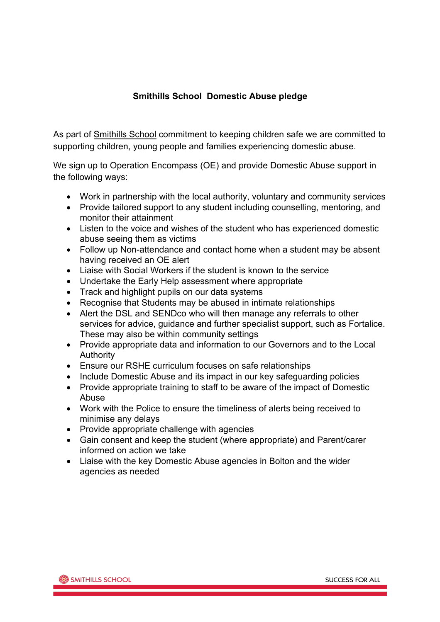## **Smithills School Domestic Abuse pledge**

As part of Smithills School commitment to keeping children safe we are committed to supporting children, young people and families experiencing domestic abuse.

We sign up to Operation Encompass (OE) and provide Domestic Abuse support in the following ways:

- Work in partnership with the local authority, voluntary and community services
- Provide tailored support to any student including counselling, mentoring, and monitor their attainment
- Listen to the voice and wishes of the student who has experienced domestic abuse seeing them as victims
- Follow up Non-attendance and contact home when a student may be absent having received an OE alert
- Liaise with Social Workers if the student is known to the service
- Undertake the Early Help assessment where appropriate
- Track and highlight pupils on our data systems
- Recognise that Students may be abused in intimate relationships
- Alert the DSL and SENDco who will then manage any referrals to other services for advice, guidance and further specialist support, such as Fortalice. These may also be within community settings
- Provide appropriate data and information to our Governors and to the Local Authority
- Ensure our RSHE curriculum focuses on safe relationships
- Include Domestic Abuse and its impact in our key safeguarding policies
- Provide appropriate training to staff to be aware of the impact of Domestic Abuse
- Work with the Police to ensure the timeliness of alerts being received to minimise any delays
- Provide appropriate challenge with agencies
- Gain consent and keep the student (where appropriate) and Parent/carer informed on action we take
- Liaise with the key Domestic Abuse agencies in Bolton and the wider agencies as needed